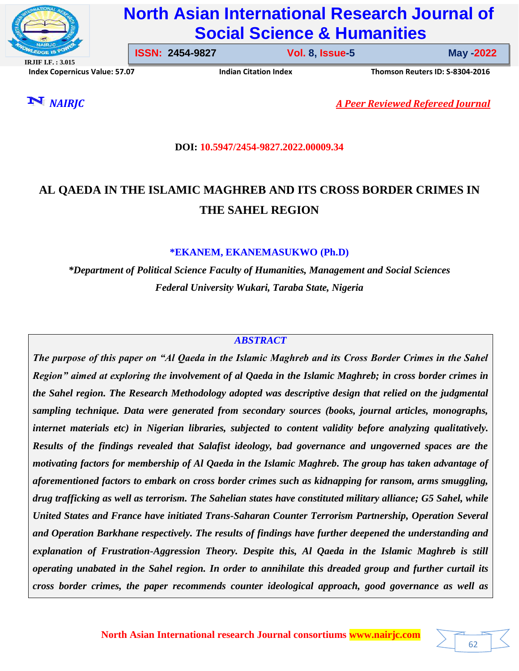

# **North Asian International Research Journal of Social Science & Humanities**

**IRJIF I.F. : 3.015**

**ISSN: 2454-9827 Vol. 8, Issue-5** 

**Issue-5 May -2022**

62

**Index Copernicus Value: 57.07****Indian Citation Index****Thomson Reuters ID: S-8304-2016** 

*NAIRJC A Peer Reviewed Refereed Journal*

# **DOI: 10.5947/2454-9827.2022.00009.34**

# **AL QAEDA IN THE ISLAMIC MAGHREB AND ITS CROSS BORDER CRIMES IN THE SAHEL REGION**

# **\*EKANEM, EKANEMASUKWO (Ph.D)**

*\*Department of Political Science Faculty of Humanities, Management and Social Sciences Federal University Wukari, Taraba State, Nigeria*

# *ABSTRACT*

*The purpose of this paper on "Al Qaeda in the Islamic Maghreb and its Cross Border Crimes in the Sahel Region" aimed at exploring the involvement of al Qaeda in the Islamic Maghreb; in cross border crimes in the Sahel region. The Research Methodology adopted was descriptive design that relied on the judgmental sampling technique. Data were generated from secondary sources (books, journal articles, monographs, internet materials etc) in Nigerian libraries, subjected to content validity before analyzing qualitatively. Results of the findings revealed that Salafist ideology, bad governance and ungoverned spaces are the motivating factors for membership of Al Qaeda in the Islamic Maghreb. The group has taken advantage of aforementioned factors to embark on cross border crimes such as kidnapping for ransom, arms smuggling, drug trafficking as well as terrorism. The Sahelian states have constituted military alliance; G5 Sahel, while United States and France have initiated Trans-Saharan Counter Terrorism Partnership, Operation Several and Operation Barkhane respectively. The results of findings have further deepened the understanding and explanation of Frustration-Aggression Theory. Despite this, Al Qaeda in the Islamic Maghreb is still operating unabated in the Sahel region. In order to annihilate this dreaded group and further curtail its cross border crimes, the paper recommends counter ideological approach, good governance as well as*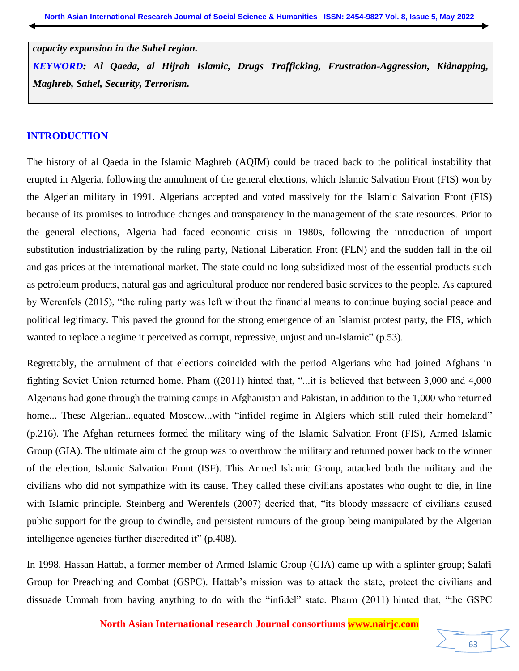*capacity expansion in the Sahel region.* 

*KEYWORD: Al Qaeda, al Hijrah Islamic, Drugs Trafficking, Frustration-Aggression, Kidnapping, Maghreb, Sahel, Security, Terrorism.* 

#### **INTRODUCTION**

The history of al Qaeda in the Islamic Maghreb (AQIM) could be traced back to the political instability that erupted in Algeria, following the annulment of the general elections, which Islamic Salvation Front (FIS) won by the Algerian military in 1991. Algerians accepted and voted massively for the Islamic Salvation Front (FIS) because of its promises to introduce changes and transparency in the management of the state resources. Prior to the general elections, Algeria had faced economic crisis in 1980s, following the introduction of import substitution industrialization by the ruling party, National Liberation Front (FLN) and the sudden fall in the oil and gas prices at the international market. The state could no long subsidized most of the essential products such as petroleum products, natural gas and agricultural produce nor rendered basic services to the people. As captured by Werenfels (2015), "the ruling party was left without the financial means to continue buying social peace and political legitimacy. This paved the ground for the strong emergence of an Islamist protest party, the FIS, which wanted to replace a regime it perceived as corrupt, repressive, unjust and un-Islamic" (p.53).

Regrettably, the annulment of that elections coincided with the period Algerians who had joined Afghans in fighting Soviet Union returned home. Pham ((2011) hinted that, "...it is believed that between 3,000 and 4,000 Algerians had gone through the training camps in Afghanistan and Pakistan, in addition to the 1,000 who returned home... These Algerian...equated Moscow...with "infidel regime in Algiers which still ruled their homeland" (p.216). The Afghan returnees formed the military wing of the Islamic Salvation Front (FIS), Armed Islamic Group (GIA). The ultimate aim of the group was to overthrow the military and returned power back to the winner of the election, Islamic Salvation Front (ISF). This Armed Islamic Group, attacked both the military and the civilians who did not sympathize with its cause. They called these civilians apostates who ought to die, in line with Islamic principle. Steinberg and Werenfels (2007) decried that, "its bloody massacre of civilians caused public support for the group to dwindle, and persistent rumours of the group being manipulated by the Algerian intelligence agencies further discredited it" (p.408).

In 1998, Hassan Hattab, a former member of Armed Islamic Group (GIA) came up with a splinter group; Salafi Group for Preaching and Combat (GSPC). Hattab's mission was to attack the state, protect the civilians and dissuade Ummah from having anything to do with the "infidel" state. Pharm (2011) hinted that, "the GSPC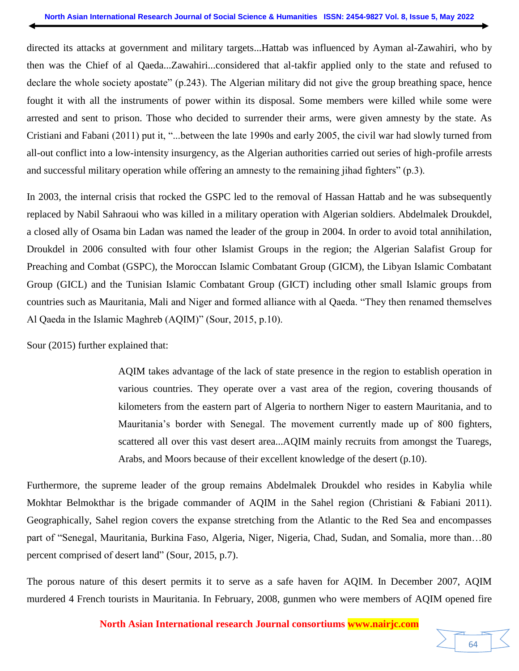directed its attacks at government and military targets...Hattab was influenced by Ayman al-Zawahiri, who by then was the Chief of al Qaeda...Zawahiri...considered that al-takfir applied only to the state and refused to declare the whole society apostate" (p.243). The Algerian military did not give the group breathing space, hence fought it with all the instruments of power within its disposal. Some members were killed while some were arrested and sent to prison. Those who decided to surrender their arms, were given amnesty by the state. As Cristiani and Fabani (2011) put it, "...between the late 1990s and early 2005, the civil war had slowly turned from all-out conflict into a low-intensity insurgency, as the Algerian authorities carried out series of high-profile arrests and successful military operation while offering an amnesty to the remaining jihad fighters" (p.3).

In 2003, the internal crisis that rocked the GSPC led to the removal of Hassan Hattab and he was subsequently replaced by Nabil Sahraoui who was killed in a military operation with Algerian soldiers. Abdelmalek Droukdel, a closed ally of Osama bin Ladan was named the leader of the group in 2004. In order to avoid total annihilation, Droukdel in 2006 consulted with four other Islamist Groups in the region; the Algerian Salafist Group for Preaching and Combat (GSPC), the Moroccan Islamic Combatant Group (GICM), the Libyan Islamic Combatant Group (GICL) and the Tunisian Islamic Combatant Group (GICT) including other small Islamic groups from countries such as Mauritania, Mali and Niger and formed alliance with al Qaeda. "They then renamed themselves Al Qaeda in the Islamic Maghreb (AQIM)" (Sour, 2015, p.10).

Sour (2015) further explained that:

AQIM takes advantage of the lack of state presence in the region to establish operation in various countries. They operate over a vast area of the region, covering thousands of kilometers from the eastern part of Algeria to northern Niger to eastern Mauritania, and to Mauritania's border with Senegal. The movement currently made up of 800 fighters, scattered all over this vast desert area...AQIM mainly recruits from amongst the Tuaregs, Arabs, and Moors because of their excellent knowledge of the desert (p.10).

Furthermore, the supreme leader of the group remains Abdelmalek Droukdel who resides in Kabylia while Mokhtar Belmokthar is the brigade commander of AQIM in the Sahel region (Christiani & Fabiani 2011). Geographically, Sahel region covers the expanse stretching from the Atlantic to the Red Sea and encompasses part of "Senegal, Mauritania, Burkina Faso, Algeria, Niger, Nigeria, Chad, Sudan, and Somalia, more than…80 percent comprised of desert land" (Sour, 2015, p.7).

The porous nature of this desert permits it to serve as a safe haven for AQIM. In December 2007, AQIM murdered 4 French tourists in Mauritania. In February, 2008, gunmen who were members of AQIM opened fire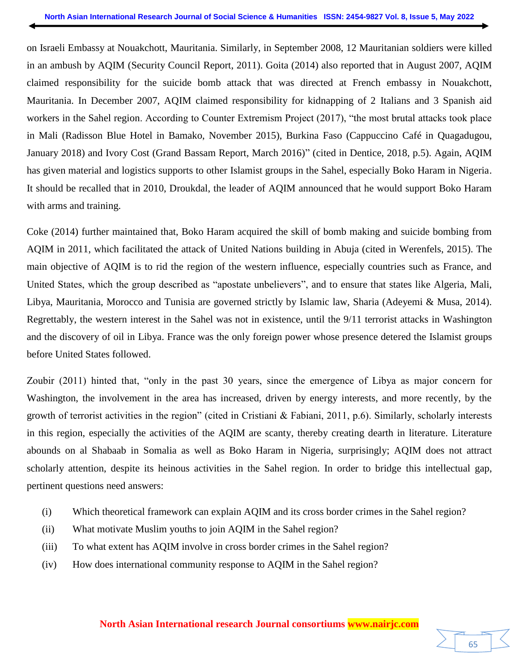on Israeli Embassy at Nouakchott, Mauritania. Similarly, in September 2008, 12 Mauritanian soldiers were killed in an ambush by AQIM (Security Council Report, 2011). Goita (2014) also reported that in August 2007, AQIM claimed responsibility for the suicide bomb attack that was directed at French embassy in Nouakchott, Mauritania. In December 2007, AQIM claimed responsibility for kidnapping of 2 Italians and 3 Spanish aid workers in the Sahel region. According to Counter Extremism Project (2017), "the most brutal attacks took place in Mali (Radisson Blue Hotel in Bamako, November 2015), Burkina Faso (Cappuccino Café in Quagadugou, January 2018) and Ivory Cost (Grand Bassam Report, March 2016)" (cited in Dentice, 2018, p.5). Again, AQIM has given material and logistics supports to other Islamist groups in the Sahel, especially Boko Haram in Nigeria. It should be recalled that in 2010, Droukdal, the leader of AQIM announced that he would support Boko Haram with arms and training.

Coke (2014) further maintained that, Boko Haram acquired the skill of bomb making and suicide bombing from AQIM in 2011, which facilitated the attack of United Nations building in Abuja (cited in Werenfels, 2015). The main objective of AQIM is to rid the region of the western influence, especially countries such as France, and United States, which the group described as "apostate unbelievers", and to ensure that states like Algeria, Mali, Libya, Mauritania, Morocco and Tunisia are governed strictly by Islamic law, Sharia (Adeyemi & Musa, 2014). Regrettably, the western interest in the Sahel was not in existence, until the 9/11 terrorist attacks in Washington and the discovery of oil in Libya. France was the only foreign power whose presence detered the Islamist groups before United States followed.

Zoubir (2011) hinted that, "only in the past 30 years, since the emergence of Libya as major concern for Washington, the involvement in the area has increased, driven by energy interests, and more recently, by the growth of terrorist activities in the region" (cited in Cristiani & Fabiani, 2011, p.6). Similarly, scholarly interests in this region, especially the activities of the AQIM are scanty, thereby creating dearth in literature. Literature abounds on al Shabaab in Somalia as well as Boko Haram in Nigeria, surprisingly; AQIM does not attract scholarly attention, despite its heinous activities in the Sahel region. In order to bridge this intellectual gap, pertinent questions need answers:

- (i) Which theoretical framework can explain AQIM and its cross border crimes in the Sahel region?
- (ii) What motivate Muslim youths to join AQIM in the Sahel region?
- (iii) To what extent has AQIM involve in cross border crimes in the Sahel region?
- (iv) How does international community response to AQIM in the Sahel region?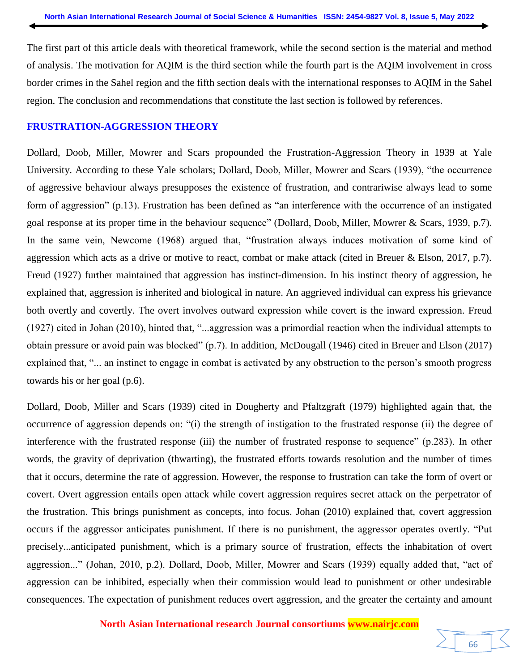The first part of this article deals with theoretical framework, while the second section is the material and method of analysis. The motivation for AQIM is the third section while the fourth part is the AQIM involvement in cross border crimes in the Sahel region and the fifth section deals with the international responses to AQIM in the Sahel region. The conclusion and recommendations that constitute the last section is followed by references.

### **FRUSTRATION-AGGRESSION THEORY**

Dollard, Doob, Miller, Mowrer and Scars propounded the Frustration-Aggression Theory in 1939 at Yale University. According to these Yale scholars; Dollard, Doob, Miller, Mowrer and Scars (1939), "the occurrence of aggressive behaviour always presupposes the existence of frustration, and contrariwise always lead to some form of aggression" (p.13). Frustration has been defined as "an interference with the occurrence of an instigated goal response at its proper time in the behaviour sequence" (Dollard, Doob, Miller, Mowrer & Scars, 1939, p.7). In the same vein, Newcome (1968) argued that, "frustration always induces motivation of some kind of aggression which acts as a drive or motive to react, combat or make attack (cited in Breuer & Elson, 2017, p.7). Freud (1927) further maintained that aggression has instinct-dimension. In his instinct theory of aggression, he explained that, aggression is inherited and biological in nature. An aggrieved individual can express his grievance both overtly and covertly. The overt involves outward expression while covert is the inward expression. Freud (1927) cited in Johan (2010), hinted that, "...aggression was a primordial reaction when the individual attempts to obtain pressure or avoid pain was blocked" (p.7). In addition, McDougall (1946) cited in Breuer and Elson (2017) explained that, "... an instinct to engage in combat is activated by any obstruction to the person's smooth progress towards his or her goal (p.6).

Dollard, Doob, Miller and Scars (1939) cited in Dougherty and Pfaltzgraft (1979) highlighted again that, the occurrence of aggression depends on: "(i) the strength of instigation to the frustrated response (ii) the degree of interference with the frustrated response (iii) the number of frustrated response to sequence" (p.283). In other words, the gravity of deprivation (thwarting), the frustrated efforts towards resolution and the number of times that it occurs, determine the rate of aggression. However, the response to frustration can take the form of overt or covert. Overt aggression entails open attack while covert aggression requires secret attack on the perpetrator of the frustration. This brings punishment as concepts, into focus. Johan (2010) explained that, covert aggression occurs if the aggressor anticipates punishment. If there is no punishment, the aggressor operates overtly. "Put precisely...anticipated punishment, which is a primary source of frustration, effects the inhabitation of overt aggression..." (Johan, 2010, p.2). Dollard, Doob, Miller, Mowrer and Scars (1939) equally added that, "act of aggression can be inhibited, especially when their commission would lead to punishment or other undesirable consequences. The expectation of punishment reduces overt aggression, and the greater the certainty and amount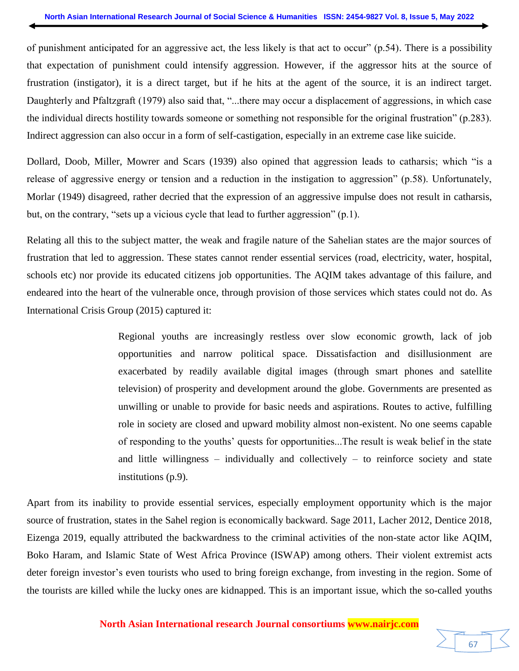of punishment anticipated for an aggressive act, the less likely is that act to occur" (p.54). There is a possibility that expectation of punishment could intensify aggression. However, if the aggressor hits at the source of frustration (instigator), it is a direct target, but if he hits at the agent of the source, it is an indirect target. Daughterly and Pfaltzgraft (1979) also said that, "...there may occur a displacement of aggressions, in which case the individual directs hostility towards someone or something not responsible for the original frustration" (p.283). Indirect aggression can also occur in a form of self-castigation, especially in an extreme case like suicide.

Dollard, Doob, Miller, Mowrer and Scars (1939) also opined that aggression leads to catharsis; which "is a release of aggressive energy or tension and a reduction in the instigation to aggression" (p.58). Unfortunately, Morlar (1949) disagreed, rather decried that the expression of an aggressive impulse does not result in catharsis, but, on the contrary, "sets up a vicious cycle that lead to further aggression" (p.1).

Relating all this to the subject matter, the weak and fragile nature of the Sahelian states are the major sources of frustration that led to aggression. These states cannot render essential services (road, electricity, water, hospital, schools etc) nor provide its educated citizens job opportunities. The AQIM takes advantage of this failure, and endeared into the heart of the vulnerable once, through provision of those services which states could not do. As International Crisis Group (2015) captured it:

> Regional youths are increasingly restless over slow economic growth, lack of job opportunities and narrow political space. Dissatisfaction and disillusionment are exacerbated by readily available digital images (through smart phones and satellite television) of prosperity and development around the globe. Governments are presented as unwilling or unable to provide for basic needs and aspirations. Routes to active, fulfilling role in society are closed and upward mobility almost non-existent. No one seems capable of responding to the youths' quests for opportunities...The result is weak belief in the state and little willingness  $-$  individually and collectively  $-$  to reinforce society and state institutions (p.9).

Apart from its inability to provide essential services, especially employment opportunity which is the major source of frustration, states in the Sahel region is economically backward. Sage 2011, Lacher 2012, Dentice 2018, Eizenga 2019, equally attributed the backwardness to the criminal activities of the non-state actor like AQIM, Boko Haram, and Islamic State of West Africa Province (ISWAP) among others. Their violent extremist acts deter foreign investor's even tourists who used to bring foreign exchange, from investing in the region. Some of the tourists are killed while the lucky ones are kidnapped. This is an important issue, which the so-called youths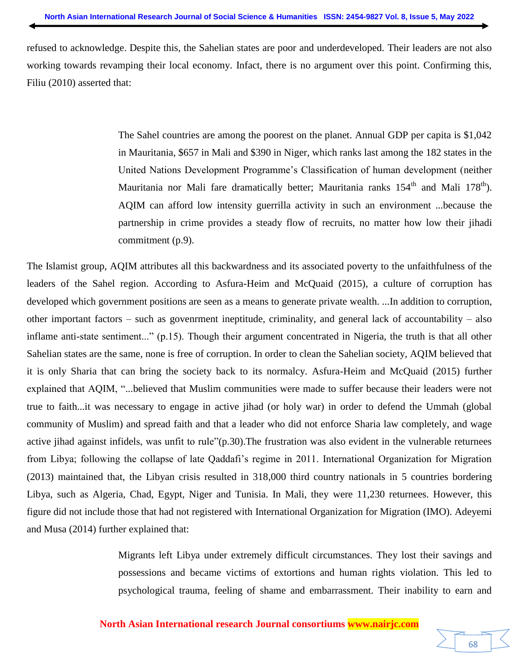refused to acknowledge. Despite this, the Sahelian states are poor and underdeveloped. Their leaders are not also working towards revamping their local economy. Infact, there is no argument over this point. Confirming this, Filiu (2010) asserted that:

> The Sahel countries are among the poorest on the planet. Annual GDP per capita is \$1,042 in Mauritania, \$657 in Mali and \$390 in Niger, which ranks last among the 182 states in the United Nations Development Programme's Classification of human development (neither Mauritania nor Mali fare dramatically better; Mauritania ranks  $154<sup>th</sup>$  and Mali  $178<sup>th</sup>$ ). AQIM can afford low intensity guerrilla activity in such an environment ...because the partnership in crime provides a steady flow of recruits, no matter how low their jihadi commitment (p.9).

The Islamist group, AQIM attributes all this backwardness and its associated poverty to the unfaithfulness of the leaders of the Sahel region. According to Asfura-Heim and McQuaid (2015), a culture of corruption has developed which government positions are seen as a means to generate private wealth. ...In addition to corruption, other important factors – such as govenrment ineptitude, criminality, and general lack of accountability – also inflame anti-state sentiment..." (p.15). Though their argument concentrated in Nigeria, the truth is that all other Sahelian states are the same, none is free of corruption. In order to clean the Sahelian society, AQIM believed that it is only Sharia that can bring the society back to its normalcy. Asfura-Heim and McQuaid (2015) further explained that AQIM, "...believed that Muslim communities were made to suffer because their leaders were not true to faith...it was necessary to engage in active jihad (or holy war) in order to defend the Ummah (global community of Muslim) and spread faith and that a leader who did not enforce Sharia law completely, and wage active jihad against infidels, was unfit to rule"(p.30).The frustration was also evident in the vulnerable returnees from Libya; following the collapse of late Qaddafi's regime in 2011. International Organization for Migration (2013) maintained that, the Libyan crisis resulted in 318,000 third country nationals in 5 countries bordering Libya, such as Algeria, Chad, Egypt, Niger and Tunisia. In Mali, they were 11,230 returnees. However, this figure did not include those that had not registered with International Organization for Migration (IMO). Adeyemi and Musa (2014) further explained that:

> Migrants left Libya under extremely difficult circumstances. They lost their savings and possessions and became victims of extortions and human rights violation. This led to psychological trauma, feeling of shame and embarrassment. Their inability to earn and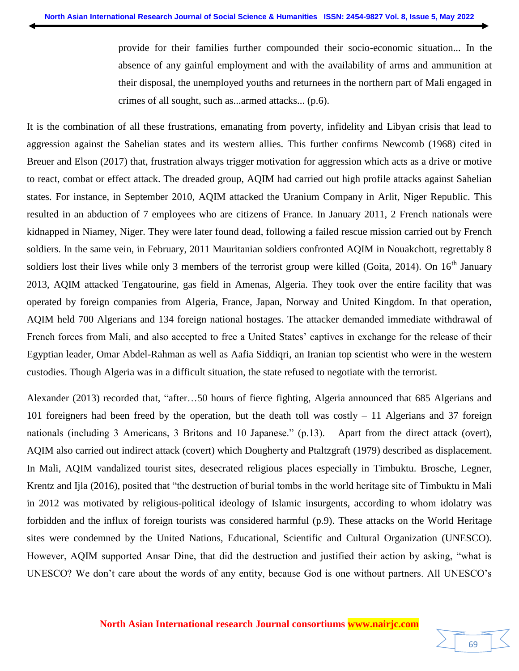provide for their families further compounded their socio-economic situation... In the absence of any gainful employment and with the availability of arms and ammunition at their disposal, the unemployed youths and returnees in the northern part of Mali engaged in crimes of all sought, such as...armed attacks... (p.6).

It is the combination of all these frustrations, emanating from poverty, infidelity and Libyan crisis that lead to aggression against the Sahelian states and its western allies. This further confirms Newcomb (1968) cited in Breuer and Elson (2017) that, frustration always trigger motivation for aggression which acts as a drive or motive to react, combat or effect attack. The dreaded group, AQIM had carried out high profile attacks against Sahelian states. For instance, in September 2010, AQIM attacked the Uranium Company in Arlit, Niger Republic. This resulted in an abduction of 7 employees who are citizens of France. In January 2011, 2 French nationals were kidnapped in Niamey, Niger. They were later found dead, following a failed rescue mission carried out by French soldiers. In the same vein, in February, 2011 Mauritanian soldiers confronted AQIM in Nouakchott, regrettably 8 soldiers lost their lives while only 3 members of the terrorist group were killed (Goita, 2014). On  $16<sup>th</sup>$  January 2013, AQIM attacked Tengatourine, gas field in Amenas, Algeria. They took over the entire facility that was operated by foreign companies from Algeria, France, Japan, Norway and United Kingdom. In that operation, AQIM held 700 Algerians and 134 foreign national hostages. The attacker demanded immediate withdrawal of French forces from Mali, and also accepted to free a United States' captives in exchange for the release of their Egyptian leader, Omar Abdel-Rahman as well as Aafia Siddiqri, an Iranian top scientist who were in the western custodies. Though Algeria was in a difficult situation, the state refused to negotiate with the terrorist.

Alexander (2013) recorded that, "after…50 hours of fierce fighting, Algeria announced that 685 Algerians and 101 foreigners had been freed by the operation, but the death toll was costly – 11 Algerians and 37 foreign nationals (including 3 Americans, 3 Britons and 10 Japanese." (p.13). Apart from the direct attack (overt), AQIM also carried out indirect attack (covert) which Dougherty and Ptaltzgraft (1979) described as displacement. In Mali, AQIM vandalized tourist sites, desecrated religious places especially in Timbuktu. Brosche, Legner, Krentz and Ijla (2016), posited that "the destruction of burial tombs in the world heritage site of Timbuktu in Mali in 2012 was motivated by religious-political ideology of Islamic insurgents, according to whom idolatry was forbidden and the influx of foreign tourists was considered harmful (p.9). These attacks on the World Heritage sites were condemned by the United Nations, Educational, Scientific and Cultural Organization (UNESCO). However, AQIM supported Ansar Dine, that did the destruction and justified their action by asking, "what is UNESCO? We don't care about the words of any entity, because God is one without partners. All UNESCO's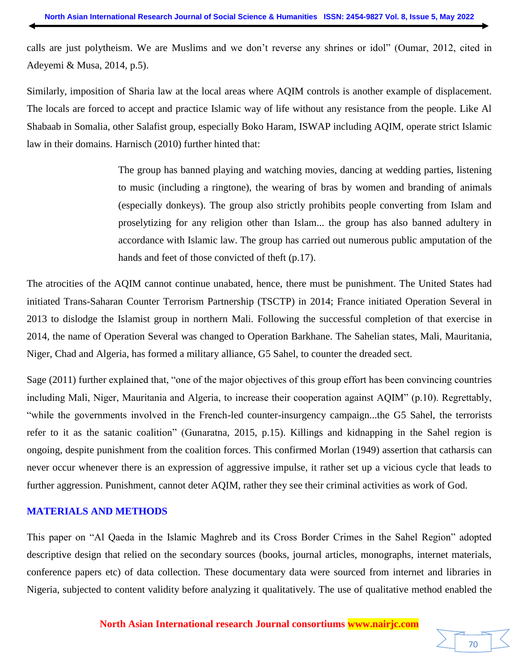calls are just polytheism. We are Muslims and we don't reverse any shrines or idol" (Oumar, 2012, cited in Adeyemi & Musa, 2014, p.5).

Similarly, imposition of Sharia law at the local areas where AQIM controls is another example of displacement. The locals are forced to accept and practice Islamic way of life without any resistance from the people. Like Al Shabaab in Somalia, other Salafist group, especially Boko Haram, ISWAP including AQIM, operate strict Islamic law in their domains. Harnisch (2010) further hinted that:

> The group has banned playing and watching movies, dancing at wedding parties, listening to music (including a ringtone), the wearing of bras by women and branding of animals (especially donkeys). The group also strictly prohibits people converting from Islam and proselytizing for any religion other than Islam... the group has also banned adultery in accordance with Islamic law. The group has carried out numerous public amputation of the hands and feet of those convicted of theft (p.17).

The atrocities of the AQIM cannot continue unabated, hence, there must be punishment. The United States had initiated Trans-Saharan Counter Terrorism Partnership (TSCTP) in 2014; France initiated Operation Several in 2013 to dislodge the Islamist group in northern Mali. Following the successful completion of that exercise in 2014, the name of Operation Several was changed to Operation Barkhane. The Sahelian states, Mali, Mauritania, Niger, Chad and Algeria, has formed a military alliance, G5 Sahel, to counter the dreaded sect.

Sage (2011) further explained that, "one of the major objectives of this group effort has been convincing countries including Mali, Niger, Mauritania and Algeria, to increase their cooperation against AQIM" (p.10). Regrettably, "while the governments involved in the French-led counter-insurgency campaign...the G5 Sahel, the terrorists refer to it as the satanic coalition" (Gunaratna, 2015, p.15). Killings and kidnapping in the Sahel region is ongoing, despite punishment from the coalition forces. This confirmed Morlan (1949) assertion that catharsis can never occur whenever there is an expression of aggressive impulse, it rather set up a vicious cycle that leads to further aggression. Punishment, cannot deter AQIM, rather they see their criminal activities as work of God.

# **MATERIALS AND METHODS**

This paper on "Al Qaeda in the Islamic Maghreb and its Cross Border Crimes in the Sahel Region" adopted descriptive design that relied on the secondary sources (books, journal articles, monographs, internet materials, conference papers etc) of data collection. These documentary data were sourced from internet and libraries in Nigeria, subjected to content validity before analyzing it qualitatively. The use of qualitative method enabled the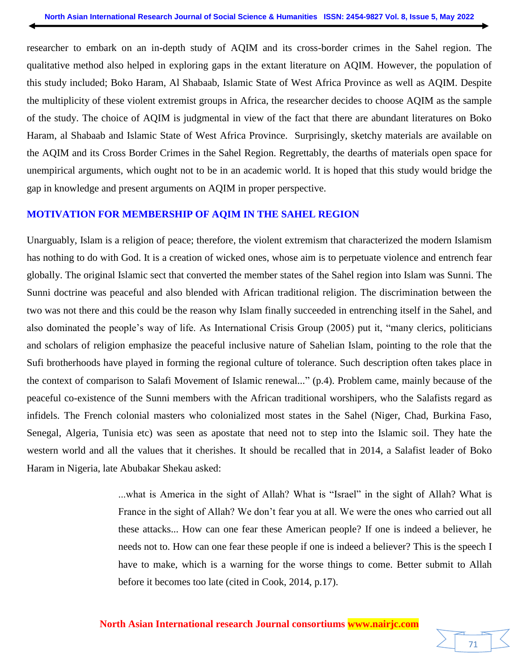researcher to embark on an in-depth study of AQIM and its cross-border crimes in the Sahel region. The qualitative method also helped in exploring gaps in the extant literature on AQIM. However, the population of this study included; Boko Haram, Al Shabaab, Islamic State of West Africa Province as well as AQIM. Despite the multiplicity of these violent extremist groups in Africa, the researcher decides to choose AQIM as the sample of the study. The choice of AQIM is judgmental in view of the fact that there are abundant literatures on Boko Haram, al Shabaab and Islamic State of West Africa Province. Surprisingly, sketchy materials are available on the AQIM and its Cross Border Crimes in the Sahel Region. Regrettably, the dearths of materials open space for unempirical arguments, which ought not to be in an academic world. It is hoped that this study would bridge the gap in knowledge and present arguments on AQIM in proper perspective.

#### **MOTIVATION FOR MEMBERSHIP OF AQIM IN THE SAHEL REGION**

Unarguably, Islam is a religion of peace; therefore, the violent extremism that characterized the modern Islamism has nothing to do with God. It is a creation of wicked ones, whose aim is to perpetuate violence and entrench fear globally. The original Islamic sect that converted the member states of the Sahel region into Islam was Sunni. The Sunni doctrine was peaceful and also blended with African traditional religion. The discrimination between the two was not there and this could be the reason why Islam finally succeeded in entrenching itself in the Sahel, and also dominated the people's way of life. As International Crisis Group (2005) put it, "many clerics, politicians and scholars of religion emphasize the peaceful inclusive nature of Sahelian Islam, pointing to the role that the Sufi brotherhoods have played in forming the regional culture of tolerance. Such description often takes place in the context of comparison to Salafi Movement of Islamic renewal..." (p.4). Problem came, mainly because of the peaceful co-existence of the Sunni members with the African traditional worshipers, who the Salafists regard as infidels. The French colonial masters who colonialized most states in the Sahel (Niger, Chad, Burkina Faso, Senegal, Algeria, Tunisia etc) was seen as apostate that need not to step into the Islamic soil. They hate the western world and all the values that it cherishes. It should be recalled that in 2014, a Salafist leader of Boko Haram in Nigeria, late Abubakar Shekau asked:

> ...what is America in the sight of Allah? What is "Israel" in the sight of Allah? What is France in the sight of Allah? We don't fear you at all. We were the ones who carried out all these attacks... How can one fear these American people? If one is indeed a believer, he needs not to. How can one fear these people if one is indeed a believer? This is the speech I have to make, which is a warning for the worse things to come. Better submit to Allah before it becomes too late (cited in Cook, 2014, p.17).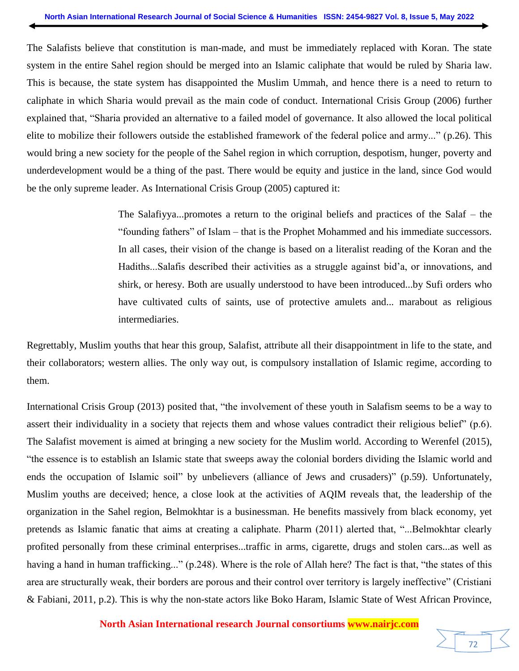The Salafists believe that constitution is man-made, and must be immediately replaced with Koran. The state system in the entire Sahel region should be merged into an Islamic caliphate that would be ruled by Sharia law. This is because, the state system has disappointed the Muslim Ummah, and hence there is a need to return to caliphate in which Sharia would prevail as the main code of conduct. International Crisis Group (2006) further explained that, "Sharia provided an alternative to a failed model of governance. It also allowed the local political elite to mobilize their followers outside the established framework of the federal police and army..." (p.26). This would bring a new society for the people of the Sahel region in which corruption, despotism, hunger, poverty and underdevelopment would be a thing of the past. There would be equity and justice in the land, since God would be the only supreme leader. As International Crisis Group (2005) captured it:

> The Salafiyya...promotes a return to the original beliefs and practices of the Salaf – the "founding fathers" of Islam – that is the Prophet Mohammed and his immediate successors. In all cases, their vision of the change is based on a literalist reading of the Koran and the Hadiths...Salafis described their activities as a struggle against bid'a, or innovations, and shirk, or heresy. Both are usually understood to have been introduced...by Sufi orders who have cultivated cults of saints, use of protective amulets and... marabout as religious intermediaries.

Regrettably, Muslim youths that hear this group, Salafist, attribute all their disappointment in life to the state, and their collaborators; western allies. The only way out, is compulsory installation of Islamic regime, according to them.

International Crisis Group (2013) posited that, "the involvement of these youth in Salafism seems to be a way to assert their individuality in a society that rejects them and whose values contradict their religious belief" (p.6). The Salafist movement is aimed at bringing a new society for the Muslim world. According to Werenfel (2015), "the essence is to establish an Islamic state that sweeps away the colonial borders dividing the Islamic world and ends the occupation of Islamic soil" by unbelievers (alliance of Jews and crusaders)" (p.59). Unfortunately, Muslim youths are deceived; hence, a close look at the activities of AQIM reveals that, the leadership of the organization in the Sahel region, Belmokhtar is a businessman. He benefits massively from black economy, yet pretends as Islamic fanatic that aims at creating a caliphate. Pharm (2011) alerted that, "...Belmokhtar clearly profited personally from these criminal enterprises...traffic in arms, cigarette, drugs and stolen cars...as well as having a hand in human trafficking..." (p.248). Where is the role of Allah here? The fact is that, "the states of this area are structurally weak, their borders are porous and their control over territory is largely ineffective" (Cristiani & Fabiani, 2011, p.2). This is why the non-state actors like Boko Haram, Islamic State of West African Province,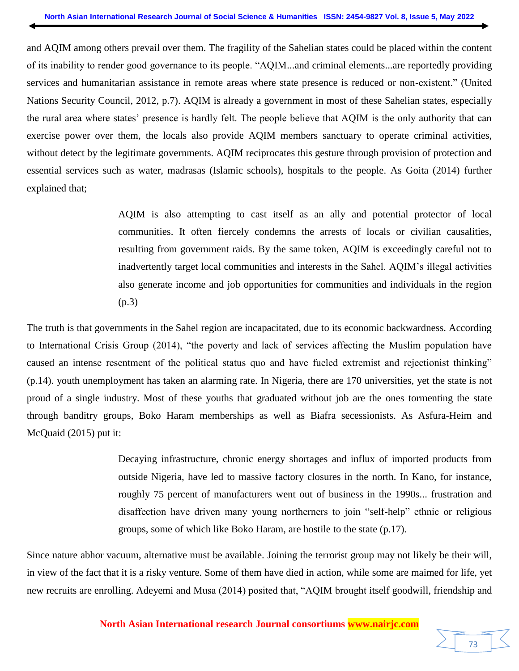and AQIM among others prevail over them. The fragility of the Sahelian states could be placed within the content of its inability to render good governance to its people. "AQIM...and criminal elements...are reportedly providing services and humanitarian assistance in remote areas where state presence is reduced or non-existent." (United Nations Security Council, 2012, p.7). AQIM is already a government in most of these Sahelian states, especially the rural area where states' presence is hardly felt. The people believe that AQIM is the only authority that can exercise power over them, the locals also provide AQIM members sanctuary to operate criminal activities, without detect by the legitimate governments. AQIM reciprocates this gesture through provision of protection and essential services such as water, madrasas (Islamic schools), hospitals to the people. As Goita (2014) further explained that;

> AQIM is also attempting to cast itself as an ally and potential protector of local communities. It often fiercely condemns the arrests of locals or civilian causalities, resulting from government raids. By the same token, AQIM is exceedingly careful not to inadvertently target local communities and interests in the Sahel. AQIM's illegal activities also generate income and job opportunities for communities and individuals in the region (p.3)

The truth is that governments in the Sahel region are incapacitated, due to its economic backwardness. According to International Crisis Group (2014), "the poverty and lack of services affecting the Muslim population have caused an intense resentment of the political status quo and have fueled extremist and rejectionist thinking" (p.14). youth unemployment has taken an alarming rate. In Nigeria, there are 170 universities, yet the state is not proud of a single industry. Most of these youths that graduated without job are the ones tormenting the state through banditry groups, Boko Haram memberships as well as Biafra secessionists. As Asfura-Heim and McQuaid (2015) put it:

> Decaying infrastructure, chronic energy shortages and influx of imported products from outside Nigeria, have led to massive factory closures in the north. In Kano, for instance, roughly 75 percent of manufacturers went out of business in the 1990s... frustration and disaffection have driven many young northerners to join "self-help" ethnic or religious groups, some of which like Boko Haram, are hostile to the state (p.17).

Since nature abhor vacuum, alternative must be available. Joining the terrorist group may not likely be their will, in view of the fact that it is a risky venture. Some of them have died in action, while some are maimed for life, yet new recruits are enrolling. Adeyemi and Musa (2014) posited that, "AQIM brought itself goodwill, friendship and

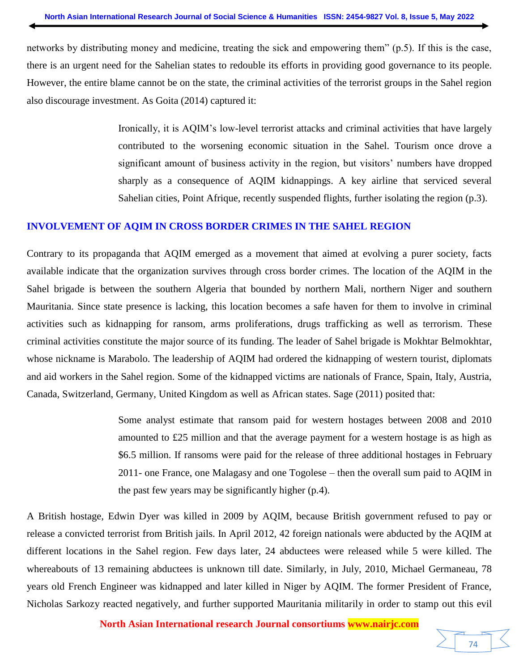networks by distributing money and medicine, treating the sick and empowering them" (p.5). If this is the case, there is an urgent need for the Sahelian states to redouble its efforts in providing good governance to its people. However, the entire blame cannot be on the state, the criminal activities of the terrorist groups in the Sahel region also discourage investment. As Goita (2014) captured it:

> Ironically, it is AQIM's low-level terrorist attacks and criminal activities that have largely contributed to the worsening economic situation in the Sahel. Tourism once drove a significant amount of business activity in the region, but visitors' numbers have dropped sharply as a consequence of AQIM kidnappings. A key airline that serviced several Sahelian cities, Point Afrique, recently suspended flights, further isolating the region (p.3).

#### **INVOLVEMENT OF AQIM IN CROSS BORDER CRIMES IN THE SAHEL REGION**

Contrary to its propaganda that AQIM emerged as a movement that aimed at evolving a purer society, facts available indicate that the organization survives through cross border crimes. The location of the AQIM in the Sahel brigade is between the southern Algeria that bounded by northern Mali, northern Niger and southern Mauritania. Since state presence is lacking, this location becomes a safe haven for them to involve in criminal activities such as kidnapping for ransom, arms proliferations, drugs trafficking as well as terrorism. These criminal activities constitute the major source of its funding. The leader of Sahel brigade is Mokhtar Belmokhtar, whose nickname is Marabolo. The leadership of AQIM had ordered the kidnapping of western tourist, diplomats and aid workers in the Sahel region. Some of the kidnapped victims are nationals of France, Spain, Italy, Austria, Canada, Switzerland, Germany, United Kingdom as well as African states. Sage (2011) posited that:

> Some analyst estimate that ransom paid for western hostages between 2008 and 2010 amounted to £25 million and that the average payment for a western hostage is as high as \$6.5 million. If ransoms were paid for the release of three additional hostages in February 2011- one France, one Malagasy and one Togolese – then the overall sum paid to AQIM in the past few years may be significantly higher (p.4).

A British hostage, Edwin Dyer was killed in 2009 by AQIM, because British government refused to pay or release a convicted terrorist from British jails. In April 2012, 42 foreign nationals were abducted by the AQIM at different locations in the Sahel region. Few days later, 24 abductees were released while 5 were killed. The whereabouts of 13 remaining abductees is unknown till date. Similarly, in July, 2010, Michael Germaneau, 78 years old French Engineer was kidnapped and later killed in Niger by AQIM. The former President of France, Nicholas Sarkozy reacted negatively, and further supported Mauritania militarily in order to stamp out this evil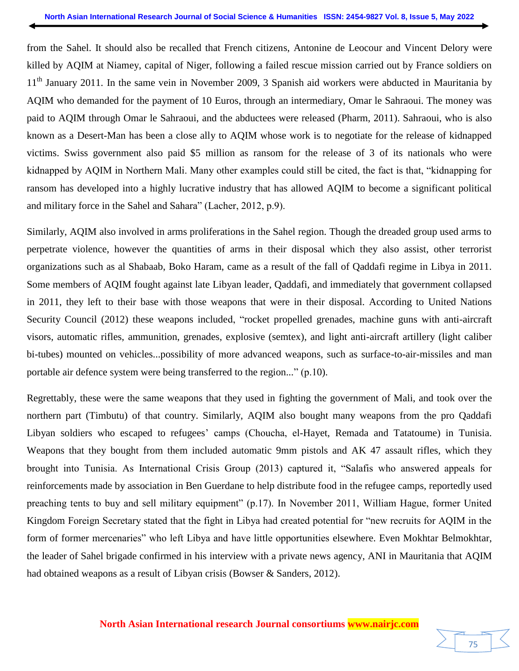from the Sahel. It should also be recalled that French citizens, Antonine de Leocour and Vincent Delory were killed by AQIM at Niamey, capital of Niger, following a failed rescue mission carried out by France soldiers on 11<sup>th</sup> January 2011. In the same vein in November 2009, 3 Spanish aid workers were abducted in Mauritania by AQIM who demanded for the payment of 10 Euros, through an intermediary, Omar le Sahraoui. The money was paid to AQIM through Omar le Sahraoui, and the abductees were released (Pharm, 2011). Sahraoui, who is also known as a Desert-Man has been a close ally to AQIM whose work is to negotiate for the release of kidnapped victims. Swiss government also paid \$5 million as ransom for the release of 3 of its nationals who were kidnapped by AQIM in Northern Mali. Many other examples could still be cited, the fact is that, "kidnapping for ransom has developed into a highly lucrative industry that has allowed AQIM to become a significant political and military force in the Sahel and Sahara" (Lacher, 2012, p.9).

Similarly, AQIM also involved in arms proliferations in the Sahel region. Though the dreaded group used arms to perpetrate violence, however the quantities of arms in their disposal which they also assist, other terrorist organizations such as al Shabaab, Boko Haram, came as a result of the fall of Qaddafi regime in Libya in 2011. Some members of AQIM fought against late Libyan leader, Qaddafi, and immediately that government collapsed in 2011, they left to their base with those weapons that were in their disposal. According to United Nations Security Council (2012) these weapons included, "rocket propelled grenades, machine guns with anti-aircraft visors, automatic rifles, ammunition, grenades, explosive (semtex), and light anti-aircraft artillery (light caliber bi-tubes) mounted on vehicles...possibility of more advanced weapons, such as surface-to-air-missiles and man portable air defence system were being transferred to the region..." (p.10).

Regrettably, these were the same weapons that they used in fighting the government of Mali, and took over the northern part (Timbutu) of that country. Similarly, AQIM also bought many weapons from the pro Qaddafi Libyan soldiers who escaped to refugees' camps (Choucha, el-Hayet, Remada and Tatatoume) in Tunisia. Weapons that they bought from them included automatic 9mm pistols and AK 47 assault rifles, which they brought into Tunisia. As International Crisis Group (2013) captured it, "Salafis who answered appeals for reinforcements made by association in Ben Guerdane to help distribute food in the refugee camps, reportedly used preaching tents to buy and sell military equipment" (p.17). In November 2011, William Hague, former United Kingdom Foreign Secretary stated that the fight in Libya had created potential for "new recruits for AQIM in the form of former mercenaries" who left Libya and have little opportunities elsewhere. Even Mokhtar Belmokhtar, the leader of Sahel brigade confirmed in his interview with a private news agency, ANI in Mauritania that AQIM had obtained weapons as a result of Libyan crisis (Bowser & Sanders, 2012).

75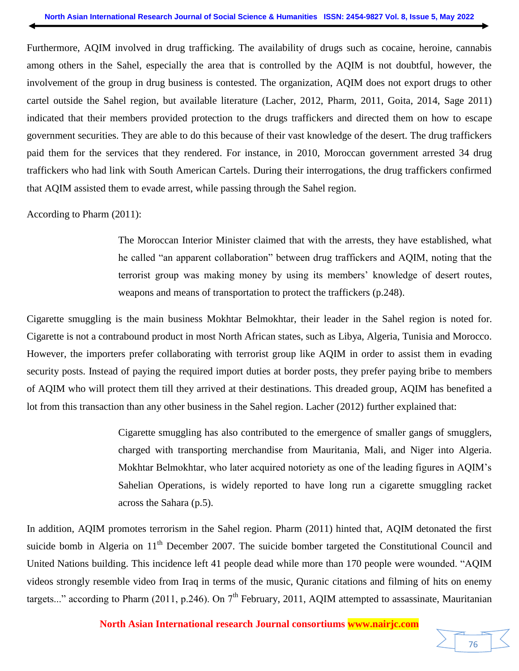Furthermore, AQIM involved in drug trafficking. The availability of drugs such as cocaine, heroine, cannabis among others in the Sahel, especially the area that is controlled by the AQIM is not doubtful, however, the involvement of the group in drug business is contested. The organization, AQIM does not export drugs to other cartel outside the Sahel region, but available literature (Lacher, 2012, Pharm, 2011, Goita, 2014, Sage 2011) indicated that their members provided protection to the drugs traffickers and directed them on how to escape government securities. They are able to do this because of their vast knowledge of the desert. The drug traffickers paid them for the services that they rendered. For instance, in 2010, Moroccan government arrested 34 drug traffickers who had link with South American Cartels. During their interrogations, the drug traffickers confirmed that AQIM assisted them to evade arrest, while passing through the Sahel region.

According to Pharm (2011):

The Moroccan Interior Minister claimed that with the arrests, they have established, what he called "an apparent collaboration" between drug traffickers and AQIM, noting that the terrorist group was making money by using its members' knowledge of desert routes, weapons and means of transportation to protect the traffickers (p.248).

Cigarette smuggling is the main business Mokhtar Belmokhtar, their leader in the Sahel region is noted for. Cigarette is not a contrabound product in most North African states, such as Libya, Algeria, Tunisia and Morocco. However, the importers prefer collaborating with terrorist group like AQIM in order to assist them in evading security posts. Instead of paying the required import duties at border posts, they prefer paying bribe to members of AQIM who will protect them till they arrived at their destinations. This dreaded group, AQIM has benefited a lot from this transaction than any other business in the Sahel region. Lacher (2012) further explained that:

> Cigarette smuggling has also contributed to the emergence of smaller gangs of smugglers, charged with transporting merchandise from Mauritania, Mali, and Niger into Algeria. Mokhtar Belmokhtar, who later acquired notoriety as one of the leading figures in AQIM's Sahelian Operations, is widely reported to have long run a cigarette smuggling racket across the Sahara (p.5).

In addition, AQIM promotes terrorism in the Sahel region. Pharm (2011) hinted that, AQIM detonated the first suicide bomb in Algeria on  $11<sup>th</sup>$  December 2007. The suicide bomber targeted the Constitutional Council and United Nations building. This incidence left 41 people dead while more than 170 people were wounded. "AQIM videos strongly resemble video from Iraq in terms of the music, Quranic citations and filming of hits on enemy targets..." according to Pharm (2011, p.246). On  $7<sup>th</sup>$  February, 2011, AQIM attempted to assassinate, Mauritanian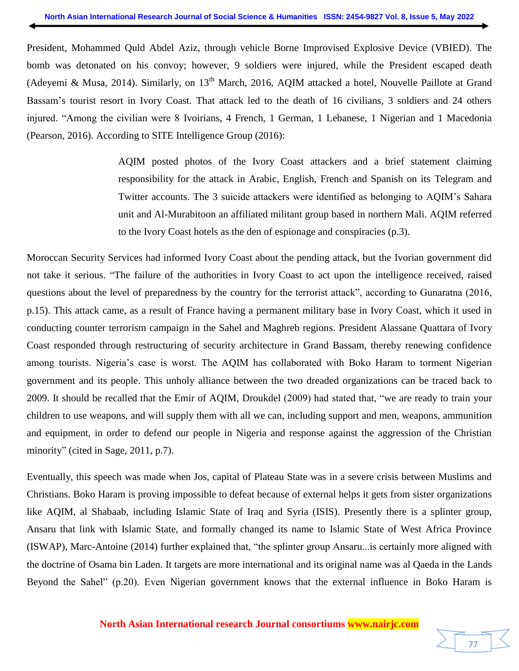President, Mohammed Quld Abdel Aziz, through vehicle Borne Improvised Explosive Device (VBIED). The bomb was detonated on his convoy; however, 9 soldiers were injured, while the President escaped death (Adeyemi & Musa, 2014). Similarly, on  $13<sup>th</sup>$  March, 2016, AQIM attacked a hotel, Nouvelle Paillote at Grand Bassam's tourist resort in Ivory Coast. That attack led to the death of 16 civilians, 3 soldiers and 24 others injured. "Among the civilian were 8 Ivoirians, 4 French, 1 German, 1 Lebanese, 1 Nigerian and 1 Macedonia (Pearson, 2016). According to SITE Intelligence Group (2016):

> AQIM posted photos of the Ivory Coast attackers and a brief statement claiming responsibility for the attack in Arabic, English, French and Spanish on its Telegram and Twitter accounts. The 3 suicide attackers were identified as belonging to AQIM's Sahara unit and Al-Murabitoon an affiliated militant group based in northern Mali. AQIM referred to the Ivory Coast hotels as the den of espionage and conspiracies (p.3).

Moroccan Security Services had informed Ivory Coast about the pending attack, but the Ivorian government did not take it serious. "The failure of the authorities in Ivory Coast to act upon the intelligence received, raised questions about the level of preparedness by the country for the terrorist attack", according to Gunaratna (2016, p.15). This attack came, as a result of France having a permanent military base in Ivory Coast, which it used in conducting counter terrorism campaign in the Sahel and Maghreb regions. President Alassane Quattara of Ivory Coast responded through restructuring of security architecture in Grand Bassam, thereby renewing confidence among tourists. Nigeria's case is worst. The AQIM has collaborated with Boko Haram to torment Nigerian government and its people. This unholy alliance between the two dreaded organizations can be traced back to 2009. It should be recalled that the Emir of AQIM, Droukdel (2009) had stated that, "we are ready to train your children to use weapons, and will supply them with all we can, including support and men, weapons, ammunition and equipment, in order to defend our people in Nigeria and response against the aggression of the Christian minority" (cited in Sage, 2011, p.7).

Eventually, this speech was made when Jos, capital of Plateau State was in a severe crisis between Muslims and Christians. Boko Haram is proving impossible to defeat because of external helps it gets from sister organizations like AQIM, al Shabaab, including Islamic State of Iraq and Syria (ISIS). Presently there is a splinter group, Ansaru that link with Islamic State, and formally changed its name to Islamic State of West Africa Province (ISWAP), Marc-Antoine (2014) further explained that, "the splinter group Ansaru...is certainly more aligned with the doctrine of Osama bin Laden. It targets are more international and its original name was al Qaeda in the Lands Beyond the Sahel" (p.20). Even Nigerian government knows that the external influence in Boko Haram is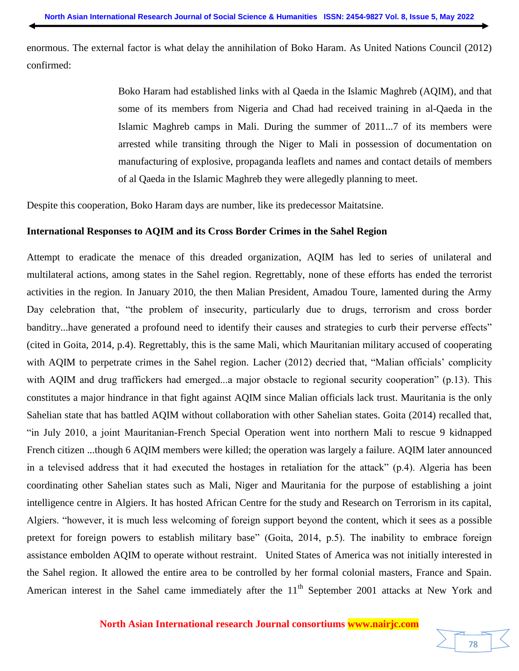enormous. The external factor is what delay the annihilation of Boko Haram. As United Nations Council (2012) confirmed:

> Boko Haram had established links with al Qaeda in the Islamic Maghreb (AQIM), and that some of its members from Nigeria and Chad had received training in al-Qaeda in the Islamic Maghreb camps in Mali. During the summer of 2011...7 of its members were arrested while transiting through the Niger to Mali in possession of documentation on manufacturing of explosive, propaganda leaflets and names and contact details of members of al Qaeda in the Islamic Maghreb they were allegedly planning to meet.

Despite this cooperation, Boko Haram days are number, like its predecessor Maitatsine.

#### **International Responses to AQIM and its Cross Border Crimes in the Sahel Region**

Attempt to eradicate the menace of this dreaded organization, AQIM has led to series of unilateral and multilateral actions, among states in the Sahel region. Regrettably, none of these efforts has ended the terrorist activities in the region. In January 2010, the then Malian President, Amadou Toure, lamented during the Army Day celebration that, "the problem of insecurity, particularly due to drugs, terrorism and cross border banditry...have generated a profound need to identify their causes and strategies to curb their perverse effects" (cited in Goita, 2014, p.4). Regrettably, this is the same Mali, which Mauritanian military accused of cooperating with AQIM to perpetrate crimes in the Sahel region. Lacher (2012) decried that, "Malian officials' complicity with AQIM and drug traffickers had emerged...a major obstacle to regional security cooperation" (p.13). This constitutes a major hindrance in that fight against AQIM since Malian officials lack trust. Mauritania is the only Sahelian state that has battled AQIM without collaboration with other Sahelian states. Goita (2014) recalled that, "in July 2010, a joint Mauritanian-French Special Operation went into northern Mali to rescue 9 kidnapped French citizen ...though 6 AQIM members were killed; the operation was largely a failure. AQIM later announced in a televised address that it had executed the hostages in retaliation for the attack" (p.4). Algeria has been coordinating other Sahelian states such as Mali, Niger and Mauritania for the purpose of establishing a joint intelligence centre in Algiers. It has hosted African Centre for the study and Research on Terrorism in its capital, Algiers. "however, it is much less welcoming of foreign support beyond the content, which it sees as a possible pretext for foreign powers to establish military base" (Goita, 2014, p.5). The inability to embrace foreign assistance embolden AQIM to operate without restraint. United States of America was not initially interested in the Sahel region. It allowed the entire area to be controlled by her formal colonial masters, France and Spain. American interest in the Sahel came immediately after the  $11<sup>th</sup>$  September 2001 attacks at New York and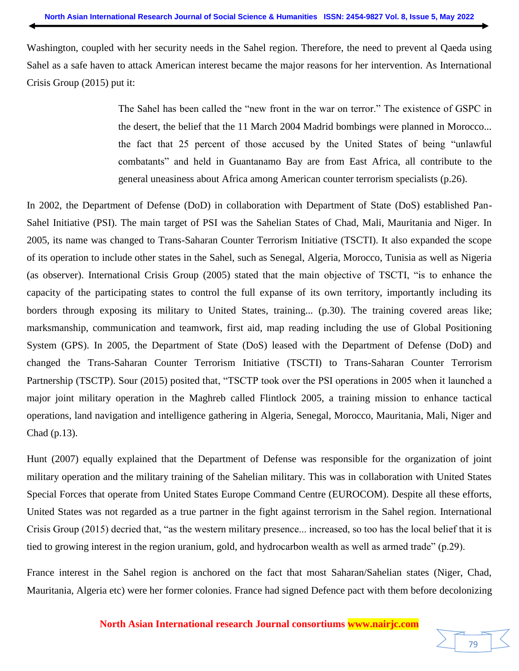Washington, coupled with her security needs in the Sahel region. Therefore, the need to prevent al Qaeda using Sahel as a safe haven to attack American interest became the major reasons for her intervention. As International Crisis Group (2015) put it:

> The Sahel has been called the "new front in the war on terror." The existence of GSPC in the desert, the belief that the 11 March 2004 Madrid bombings were planned in Morocco... the fact that 25 percent of those accused by the United States of being "unlawful combatants" and held in Guantanamo Bay are from East Africa, all contribute to the general uneasiness about Africa among American counter terrorism specialists (p.26).

In 2002, the Department of Defense (DoD) in collaboration with Department of State (DoS) established Pan-Sahel Initiative (PSI). The main target of PSI was the Sahelian States of Chad, Mali, Mauritania and Niger. In 2005, its name was changed to Trans-Saharan Counter Terrorism Initiative (TSCTI). It also expanded the scope of its operation to include other states in the Sahel, such as Senegal, Algeria, Morocco, Tunisia as well as Nigeria (as observer). International Crisis Group (2005) stated that the main objective of TSCTI, "is to enhance the capacity of the participating states to control the full expanse of its own territory, importantly including its borders through exposing its military to United States, training... (p.30). The training covered areas like; marksmanship, communication and teamwork, first aid, map reading including the use of Global Positioning System (GPS). In 2005, the Department of State (DoS) leased with the Department of Defense (DoD) and changed the Trans-Saharan Counter Terrorism Initiative (TSCTI) to Trans-Saharan Counter Terrorism Partnership (TSCTP). Sour (2015) posited that, "TSCTP took over the PSI operations in 2005 when it launched a major joint military operation in the Maghreb called Flintlock 2005, a training mission to enhance tactical operations, land navigation and intelligence gathering in Algeria, Senegal, Morocco, Mauritania, Mali, Niger and Chad (p.13).

Hunt (2007) equally explained that the Department of Defense was responsible for the organization of joint military operation and the military training of the Sahelian military. This was in collaboration with United States Special Forces that operate from United States Europe Command Centre (EUROCOM). Despite all these efforts, United States was not regarded as a true partner in the fight against terrorism in the Sahel region. International Crisis Group (2015) decried that, "as the western military presence... increased, so too has the local belief that it is tied to growing interest in the region uranium, gold, and hydrocarbon wealth as well as armed trade" (p.29).

France interest in the Sahel region is anchored on the fact that most Saharan/Sahelian states (Niger, Chad, Mauritania, Algeria etc) were her former colonies. France had signed Defence pact with them before decolonizing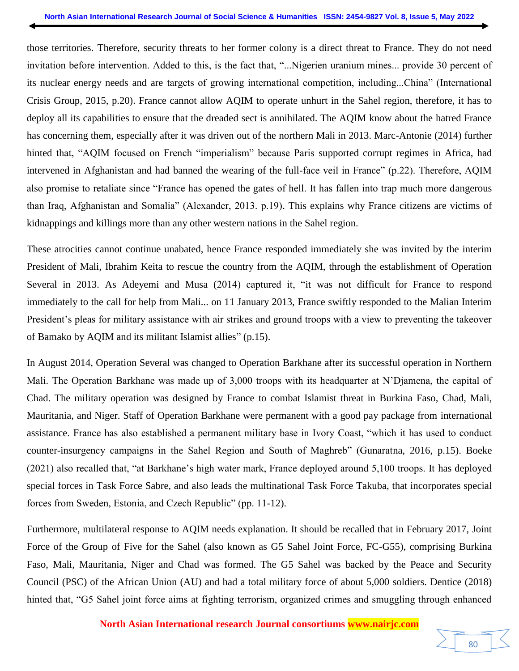those territories. Therefore, security threats to her former colony is a direct threat to France. They do not need invitation before intervention. Added to this, is the fact that, "...Nigerien uranium mines... provide 30 percent of its nuclear energy needs and are targets of growing international competition, including...China" (International Crisis Group, 2015, p.20). France cannot allow AQIM to operate unhurt in the Sahel region, therefore, it has to deploy all its capabilities to ensure that the dreaded sect is annihilated. The AQIM know about the hatred France has concerning them, especially after it was driven out of the northern Mali in 2013. Marc-Antonie (2014) further hinted that, "AQIM focused on French "imperialism" because Paris supported corrupt regimes in Africa, had intervened in Afghanistan and had banned the wearing of the full-face veil in France" (p.22). Therefore, AQIM also promise to retaliate since "France has opened the gates of hell. It has fallen into trap much more dangerous than Iraq, Afghanistan and Somalia" (Alexander, 2013. p.19). This explains why France citizens are victims of kidnappings and killings more than any other western nations in the Sahel region.

These atrocities cannot continue unabated, hence France responded immediately she was invited by the interim President of Mali, Ibrahim Keita to rescue the country from the AQIM, through the establishment of Operation Several in 2013. As Adeyemi and Musa (2014) captured it, "it was not difficult for France to respond immediately to the call for help from Mali... on 11 January 2013, France swiftly responded to the Malian Interim President's pleas for military assistance with air strikes and ground troops with a view to preventing the takeover of Bamako by AQIM and its militant Islamist allies" (p.15).

In August 2014, Operation Several was changed to Operation Barkhane after its successful operation in Northern Mali. The Operation Barkhane was made up of 3,000 troops with its headquarter at N'Djamena, the capital of Chad. The military operation was designed by France to combat Islamist threat in Burkina Faso, Chad, Mali, Mauritania, and Niger. Staff of Operation Barkhane were permanent with a good pay package from international assistance. France has also established a permanent military base in Ivory Coast, "which it has used to conduct counter-insurgency campaigns in the Sahel Region and South of Maghreb" (Gunaratna, 2016, p.15). Boeke (2021) also recalled that, "at Barkhane's high water mark, France deployed around 5,100 troops. It has deployed special forces in Task Force Sabre, and also leads the multinational Task Force Takuba, that incorporates special forces from Sweden, Estonia, and Czech Republic" (pp. 11-12).

Furthermore, multilateral response to AQIM needs explanation. It should be recalled that in February 2017, Joint Force of the Group of Five for the Sahel (also known as G5 Sahel Joint Force, FC-G55), comprising Burkina Faso, Mali, Mauritania, Niger and Chad was formed. The G5 Sahel was backed by the Peace and Security Council (PSC) of the African Union (AU) and had a total military force of about 5,000 soldiers. Dentice (2018) hinted that, "G5 Sahel joint force aims at fighting terrorism, organized crimes and smuggling through enhanced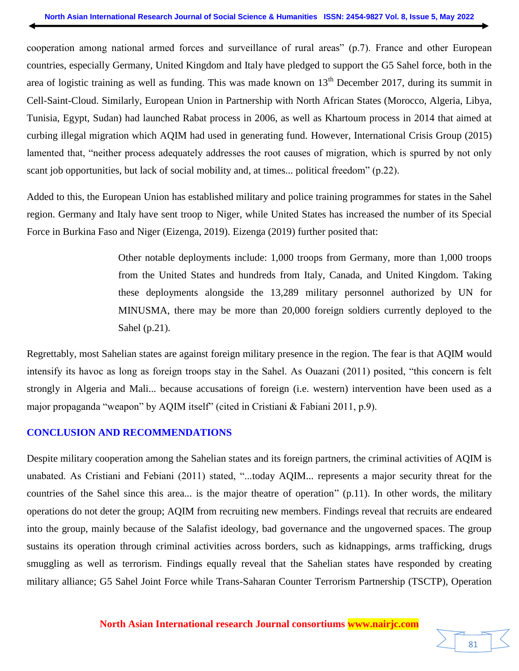cooperation among national armed forces and surveillance of rural areas" (p.7). France and other European countries, especially Germany, United Kingdom and Italy have pledged to support the G5 Sahel force, both in the area of logistic training as well as funding. This was made known on 13<sup>th</sup> December 2017, during its summit in Cell-Saint-Cloud. Similarly, European Union in Partnership with North African States (Morocco, Algeria, Libya, Tunisia, Egypt, Sudan) had launched Rabat process in 2006, as well as Khartoum process in 2014 that aimed at curbing illegal migration which AQIM had used in generating fund. However, International Crisis Group (2015) lamented that, "neither process adequately addresses the root causes of migration, which is spurred by not only scant job opportunities, but lack of social mobility and, at times... political freedom" (p.22).

Added to this, the European Union has established military and police training programmes for states in the Sahel region. Germany and Italy have sent troop to Niger, while United States has increased the number of its Special Force in Burkina Faso and Niger (Eizenga, 2019). Eizenga (2019) further posited that:

> Other notable deployments include: 1,000 troops from Germany, more than 1,000 troops from the United States and hundreds from Italy, Canada, and United Kingdom. Taking these deployments alongside the 13,289 military personnel authorized by UN for MINUSMA, there may be more than 20,000 foreign soldiers currently deployed to the Sahel (p.21).

Regrettably, most Sahelian states are against foreign military presence in the region. The fear is that AQIM would intensify its havoc as long as foreign troops stay in the Sahel. As Ouazani (2011) posited, "this concern is felt strongly in Algeria and Mali... because accusations of foreign (i.e. western) intervention have been used as a major propaganda "weapon" by AQIM itself" (cited in Cristiani & Fabiani 2011, p.9).

# **CONCLUSION AND RECOMMENDATIONS**

Despite military cooperation among the Sahelian states and its foreign partners, the criminal activities of AQIM is unabated. As Cristiani and Febiani (2011) stated, "...today AQIM... represents a major security threat for the countries of the Sahel since this area... is the major theatre of operation" (p.11). In other words, the military operations do not deter the group; AQIM from recruiting new members. Findings reveal that recruits are endeared into the group, mainly because of the Salafist ideology, bad governance and the ungoverned spaces. The group sustains its operation through criminal activities across borders, such as kidnappings, arms trafficking, drugs smuggling as well as terrorism. Findings equally reveal that the Sahelian states have responded by creating military alliance; G5 Sahel Joint Force while Trans-Saharan Counter Terrorism Partnership (TSCTP), Operation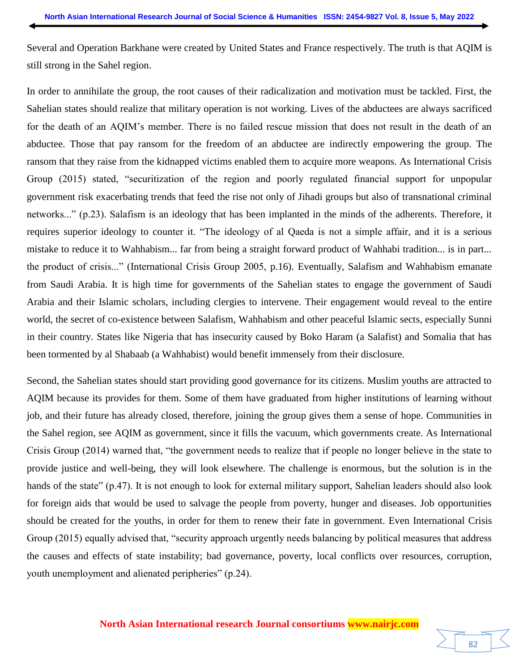Several and Operation Barkhane were created by United States and France respectively. The truth is that AQIM is still strong in the Sahel region.

In order to annihilate the group, the root causes of their radicalization and motivation must be tackled. First, the Sahelian states should realize that military operation is not working. Lives of the abductees are always sacrificed for the death of an AQIM's member. There is no failed rescue mission that does not result in the death of an abductee. Those that pay ransom for the freedom of an abductee are indirectly empowering the group. The ransom that they raise from the kidnapped victims enabled them to acquire more weapons. As International Crisis Group (2015) stated, "securitization of the region and poorly regulated financial support for unpopular government risk exacerbating trends that feed the rise not only of Jihadi groups but also of transnational criminal networks..." (p.23). Salafism is an ideology that has been implanted in the minds of the adherents. Therefore, it requires superior ideology to counter it. "The ideology of al Qaeda is not a simple affair, and it is a serious mistake to reduce it to Wahhabism... far from being a straight forward product of Wahhabi tradition... is in part... the product of crisis..." (International Crisis Group 2005, p.16). Eventually, Salafism and Wahhabism emanate from Saudi Arabia. It is high time for governments of the Sahelian states to engage the government of Saudi Arabia and their Islamic scholars, including clergies to intervene. Their engagement would reveal to the entire world, the secret of co-existence between Salafism, Wahhabism and other peaceful Islamic sects, especially Sunni in their country. States like Nigeria that has insecurity caused by Boko Haram (a Salafist) and Somalia that has been tormented by al Shabaab (a Wahhabist) would benefit immensely from their disclosure.

Second, the Sahelian states should start providing good governance for its citizens. Muslim youths are attracted to AQIM because its provides for them. Some of them have graduated from higher institutions of learning without job, and their future has already closed, therefore, joining the group gives them a sense of hope. Communities in the Sahel region, see AQIM as government, since it fills the vacuum, which governments create. As International Crisis Group (2014) warned that, "the government needs to realize that if people no longer believe in the state to provide justice and well-being, they will look elsewhere. The challenge is enormous, but the solution is in the hands of the state" (p.47). It is not enough to look for external military support, Sahelian leaders should also look for foreign aids that would be used to salvage the people from poverty, hunger and diseases. Job opportunities should be created for the youths, in order for them to renew their fate in government. Even International Crisis Group (2015) equally advised that, "security approach urgently needs balancing by political measures that address the causes and effects of state instability; bad governance, poverty, local conflicts over resources, corruption, youth unemployment and alienated peripheries" (p.24).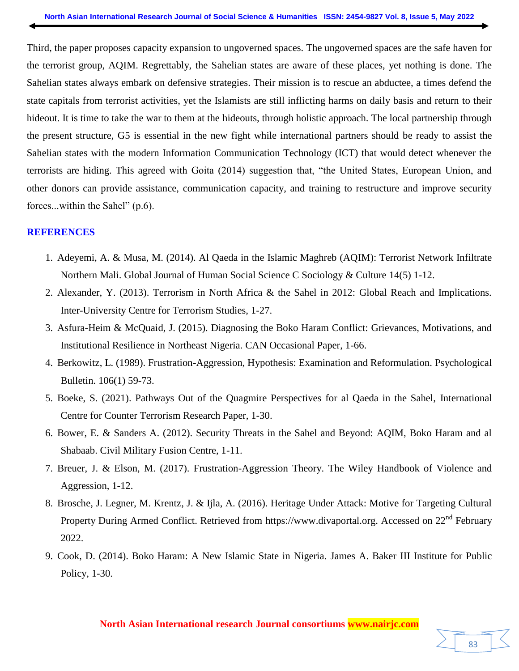Third, the paper proposes capacity expansion to ungoverned spaces. The ungoverned spaces are the safe haven for the terrorist group, AQIM. Regrettably, the Sahelian states are aware of these places, yet nothing is done. The Sahelian states always embark on defensive strategies. Their mission is to rescue an abductee, a times defend the state capitals from terrorist activities, yet the Islamists are still inflicting harms on daily basis and return to their hideout. It is time to take the war to them at the hideouts, through holistic approach. The local partnership through the present structure, G5 is essential in the new fight while international partners should be ready to assist the Sahelian states with the modern Information Communication Technology (ICT) that would detect whenever the terrorists are hiding. This agreed with Goita (2014) suggestion that, "the United States, European Union, and other donors can provide assistance, communication capacity, and training to restructure and improve security forces...within the Sahel" (p.6).

#### **REFERENCES**

- 1. Adeyemi, A. & Musa, M. (2014). Al Qaeda in the Islamic Maghreb (AQIM): Terrorist Network Infiltrate Northern Mali. Global Journal of Human Social Science C Sociology & Culture 14(5) 1-12.
- 2. Alexander, Y. (2013). Terrorism in North Africa & the Sahel in 2012: Global Reach and Implications. Inter-University Centre for Terrorism Studies, 1-27.
- 3. Asfura-Heim & McQuaid, J. (2015). Diagnosing the Boko Haram Conflict: Grievances, Motivations, and Institutional Resilience in Northeast Nigeria. CAN Occasional Paper, 1-66.
- 4. Berkowitz, L. (1989). Frustration-Aggression, Hypothesis: Examination and Reformulation. Psychological Bulletin. 106(1) 59-73.
- 5. Boeke, S. (2021). Pathways Out of the Quagmire Perspectives for al Qaeda in the Sahel, International Centre for Counter Terrorism Research Paper, 1-30.
- 6. Bower, E. & Sanders A. (2012). Security Threats in the Sahel and Beyond: AQIM, Boko Haram and al Shabaab. Civil Military Fusion Centre, 1-11.
- 7. Breuer, J. & Elson, M. (2017). Frustration-Aggression Theory. The Wiley Handbook of Violence and Aggression, 1-12.
- 8. Brosche, J. Legner, M. Krentz, J. & Ijla, A. (2016). Heritage Under Attack: Motive for Targeting Cultural Property During Armed Conflict. Retrieved from https://www.divaportal.org. Accessed on 22<sup>nd</sup> February 2022.
- 9. Cook, D. (2014). Boko Haram: A New Islamic State in Nigeria. James A. Baker III Institute for Public Policy, 1-30.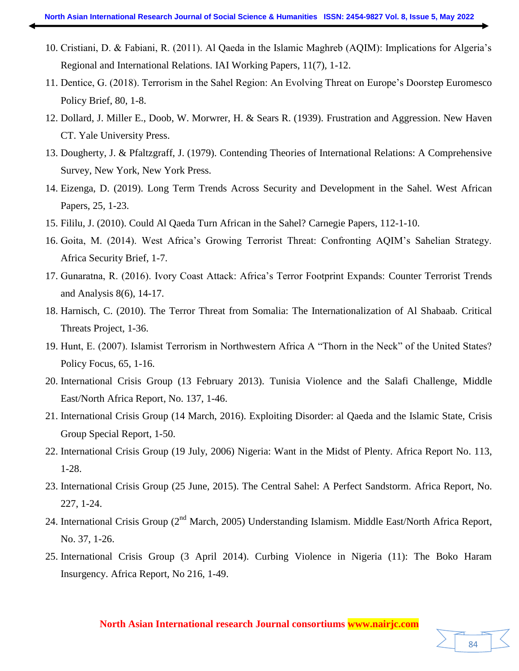- 10. Cristiani, D. & Fabiani, R. (2011). Al Qaeda in the Islamic Maghreb (AQIM): Implications for Algeria's Regional and International Relations. IAI Working Papers, 11(7), 1-12.
- 11. Dentice, G. (2018). Terrorism in the Sahel Region: An Evolving Threat on Europe's Doorstep Euromesco Policy Brief, 80, 1-8.
- 12. Dollard, J. Miller E., Doob, W. Morwrer, H. & Sears R. (1939). Frustration and Aggression. New Haven CT. Yale University Press.
- 13. Dougherty, J. & Pfaltzgraff, J. (1979). Contending Theories of International Relations: A Comprehensive Survey, New York, New York Press.
- 14. Eizenga, D. (2019). Long Term Trends Across Security and Development in the Sahel. West African Papers, 25, 1-23.
- 15. Fililu, J. (2010). Could Al Qaeda Turn African in the Sahel? Carnegie Papers, 112-1-10.
- 16. Goita, M. (2014). West Africa's Growing Terrorist Threat: Confronting AQIM's Sahelian Strategy. Africa Security Brief, 1-7.
- 17. Gunaratna, R. (2016). Ivory Coast Attack: Africa's Terror Footprint Expands: Counter Terrorist Trends and Analysis 8(6), 14-17.
- 18. Harnisch, C. (2010). The Terror Threat from Somalia: The Internationalization of Al Shabaab. Critical Threats Project, 1-36.
- 19. Hunt, E. (2007). Islamist Terrorism in Northwestern Africa A "Thorn in the Neck" of the United States? Policy Focus, 65, 1-16.
- 20. International Crisis Group (13 February 2013). Tunisia Violence and the Salafi Challenge, Middle East/North Africa Report, No. 137, 1-46.
- 21. International Crisis Group (14 March, 2016). Exploiting Disorder: al Qaeda and the Islamic State, Crisis Group Special Report, 1-50.
- 22. International Crisis Group (19 July, 2006) Nigeria: Want in the Midst of Plenty. Africa Report No. 113, 1-28.
- 23. International Crisis Group (25 June, 2015). The Central Sahel: A Perfect Sandstorm. Africa Report, No. 227, 1-24.
- 24. International Crisis Group (2<sup>nd</sup> March, 2005) Understanding Islamism. Middle East/North Africa Report, No. 37, 1-26.
- 25. International Crisis Group (3 April 2014). Curbing Violence in Nigeria (11): The Boko Haram Insurgency. Africa Report, No 216, 1-49.